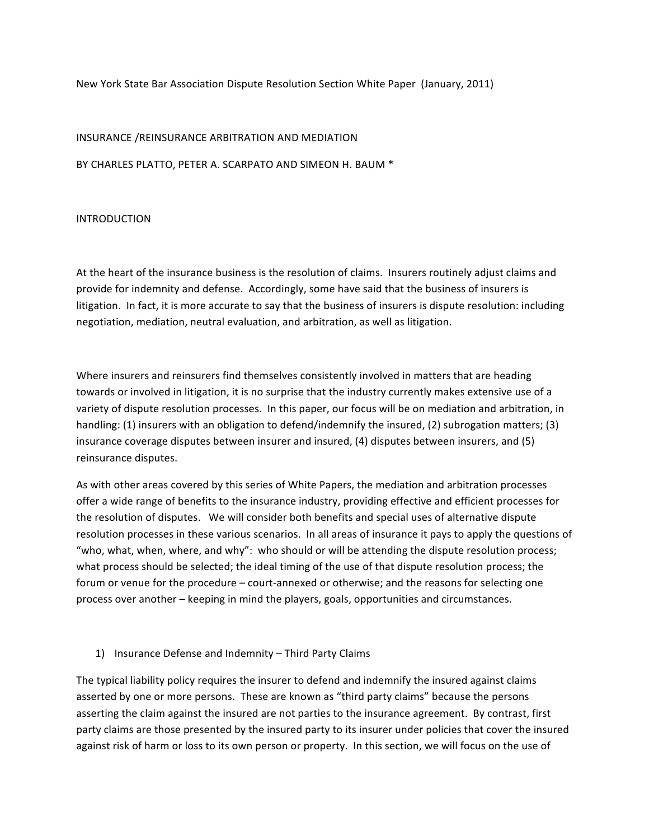## New York State Bar Association Dispute Resolution Section White Paper (January, 2011)

### INSURANCE /REINSURANCE ARBITRATION AND MEDIATION

BY CHARLES PLATTO. PETER A. SCARPATO AND SIMEON H. BAUM \*

#### **INTRODUCTION**

At the heart of the insurance business is the resolution of claims. Insurers routinely adjust claims and provide for indemnity and defense. Accordingly, some have said that the business of insurers is litigation. In fact, it is more accurate to say that the business of insurers is dispute resolution: including negotiation, mediation, neutral evaluation, and arbitration, as well as litigation.

Where insurers and reinsurers find themselves consistently involved in matters that are heading towards or involved in litigation, it is no surprise that the industry currently makes extensive use of a variety of dispute resolution processes. In this paper, our focus will be on mediation and arbitration, in handling: (1) insurers with an obligation to defend/indemnify the insured, (2) subrogation matters; (3) insurance coverage disputes between insurer and insured, (4) disputes between insurers, and (5) reinsurance disputes.

As with other areas covered by this series of White Papers, the mediation and arbitration processes offer a wide range of benefits to the insurance industry, providing effective and efficient processes for the resolution of disputes. We will consider both benefits and special uses of alternative dispute resolution processes in these various scenarios. In all areas of insurance it pays to apply the questions of "who, what, when, where, and why": who should or will be attending the dispute resolution process; what process should be selected; the ideal timing of the use of that dispute resolution process; the forum or venue for the procedure - court-annexed or otherwise; and the reasons for selecting one process over another - keeping in mind the players, goals, opportunities and circumstances.

### 1) Insurance Defense and Indemnity - Third Party Claims

The typical liability policy requires the insurer to defend and indemnify the insured against claims asserted by one or more persons. These are known as "third party claims" because the persons asserting the claim against the insured are not parties to the insurance agreement. By contrast, first party claims are those presented by the insured party to its insurer under policies that cover the insured against risk of harm or loss to its own person or property. In this section, we will focus on the use of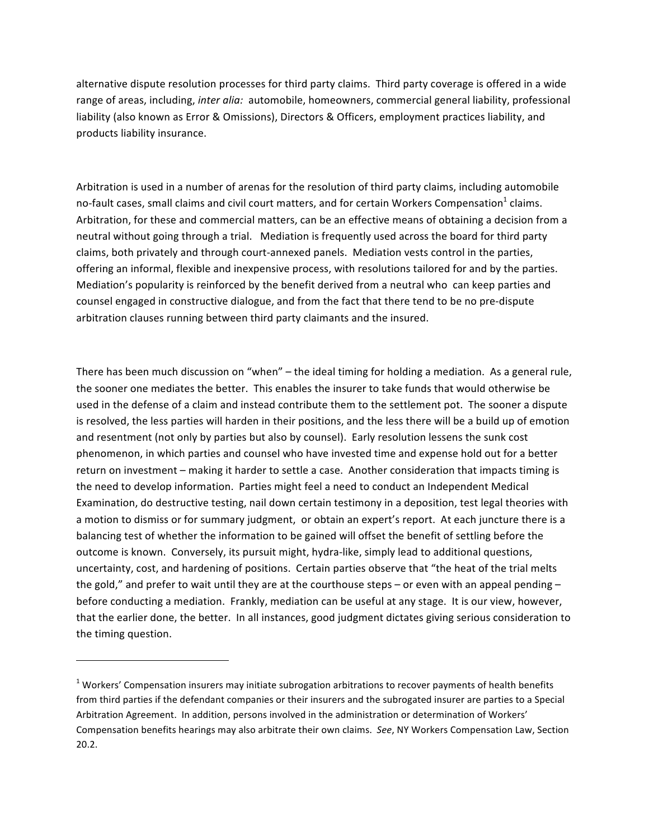alternative dispute resolution processes for third party claims. Third party coverage is offered in a wide range of areas, including, inter alia: automobile, homeowners, commercial general liability, professional liability (also known as Error & Omissions), Directors & Officers, employment practices liability, and products liability insurance.

Arbitration is used in a number of arenas for the resolution of third party claims, including automobile no-fault cases, small claims and civil court matters, and for certain Workers Compensation<sup>1</sup> claims. Arbitration, for these and commercial matters, can be an effective means of obtaining a decision from a neutral without going through a trial. Mediation is frequently used across the board for third party claims, both privately and through court-annexed panels. Mediation vests control in the parties, offering an informal, flexible and inexpensive process, with resolutions tailored for and by the parties. Mediation's popularity is reinforced by the benefit derived from a neutral who can keep parties and counsel engaged in constructive dialogue, and from the fact that there tend to be no pre-dispute arbitration clauses running between third party claimants and the insured.

There has been much discussion on "when" - the ideal timing for holding a mediation. As a general rule, the sooner one mediates the better. This enables the insurer to take funds that would otherwise be used in the defense of a claim and instead contribute them to the settlement pot. The sooner a dispute is resolved, the less parties will harden in their positions, and the less there will be a build up of emotion and resentment (not only by parties but also by counsel). Early resolution lessens the sunk cost phenomenon, in which parties and counsel who have invested time and expense hold out for a better return on investment – making it harder to settle a case. Another consideration that impacts timing is the need to develop information. Parties might feel a need to conduct an Independent Medical Examination, do destructive testing, nail down certain testimony in a deposition, test legal theories with a motion to dismiss or for summary judgment, or obtain an expert's report. At each juncture there is a balancing test of whether the information to be gained will offset the benefit of settling before the outcome is known. Conversely, its pursuit might, hydra-like, simply lead to additional questions, uncertainty, cost, and hardening of positions. Certain parties observe that "the heat of the trial melts the gold," and prefer to wait until they are at the courthouse steps – or even with an appeal pending – before conducting a mediation. Frankly, mediation can be useful at any stage. It is our view, however, that the earlier done, the better. In all instances, good judgment dictates giving serious consideration to the timing question.

 $1$  Workers' Compensation insurers may initiate subrogation arbitrations to recover payments of health benefits from third parties if the defendant companies or their insurers and the subrogated insurer are parties to a Special Arbitration Agreement. In addition, persons involved in the administration or determination of Workers' Compensation benefits hearings may also arbitrate their own claims. See, NY Workers Compensation Law, Section  $20.2.$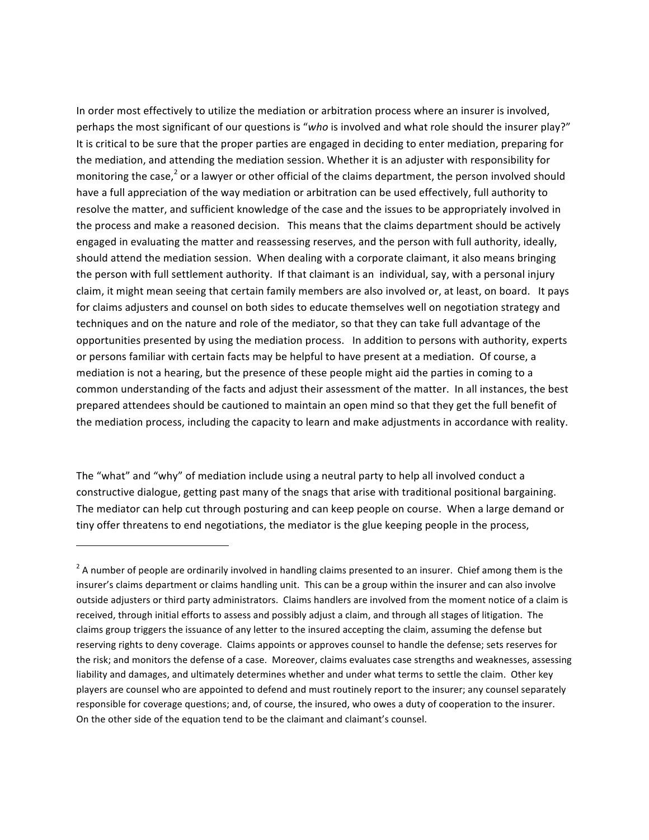In order most effectively to utilize the mediation or arbitration process where an insurer is involved, perhaps the most significant of our questions is "who is involved and what role should the insurer play?" It is critical to be sure that the proper parties are engaged in deciding to enter mediation, preparing for the mediation, and attending the mediation session. Whether it is an adjuster with responsibility for monitoring the case,<sup>2</sup> or a lawyer or other official of the claims department, the person involved should have a full appreciation of the way mediation or arbitration can be used effectively, full authority to resolve the matter, and sufficient knowledge of the case and the issues to be appropriately involved in the process and make a reasoned decision. This means that the claims department should be actively engaged in evaluating the matter and reassessing reserves, and the person with full authority, ideally, should attend the mediation session. When dealing with a corporate claimant, it also means bringing the person with full settlement authority. If that claimant is an individual, say, with a personal injury claim, it might mean seeing that certain family members are also involved or, at least, on board. It pays for claims adjusters and counsel on both sides to educate themselves well on negotiation strategy and techniques and on the nature and role of the mediator, so that they can take full advantage of the opportunities presented by using the mediation process. In addition to persons with authority, experts or persons familiar with certain facts may be helpful to have present at a mediation. Of course, a mediation is not a hearing, but the presence of these people might aid the parties in coming to a common understanding of the facts and adjust their assessment of the matter. In all instances, the best prepared attendees should be cautioned to maintain an open mind so that they get the full benefit of the mediation process, including the capacity to learn and make adjustments in accordance with reality.

The "what" and "why" of mediation include using a neutral party to help all involved conduct a constructive dialogue, getting past many of the snags that arise with traditional positional bargaining. The mediator can help cut through posturing and can keep people on course. When a large demand or tiny offer threatens to end negotiations, the mediator is the glue keeping people in the process,

\$\$\$\$\$\$\$\$\$\$\$\$\$\$\$\$\$\$\$\$\$\$\$\$\$\$\$\$\$\$\$\$\$\$\$\$\$\$\$\$\$\$\$\$\$\$\$\$\$\$\$\$\$\$\$\$\$\$\$\$

 $2^2$  A number of people are ordinarily involved in handling claims presented to an insurer. Chief among them is the insurer's claims department or claims handling unit. This can be a group within the insurer and can also involve outside adjusters or third party administrators. Claims handlers are involved from the moment notice of a claim is received, through initial efforts to assess and possibly adjust a claim, and through all stages of litigation. The claims group triggers the issuance of any letter to the insured accepting the claim, assuming the defense but reserving rights to deny coverage. Claims appoints or approves counsel to handle the defense; sets reserves for the risk; and monitors the defense of a case. Moreover, claims evaluates case strengths and weaknesses, assessing liability and damages, and ultimately determines whether and under what terms to settle the claim. Other key players are counsel who are appointed to defend and must routinely report to the insurer; any counsel separately responsible for coverage questions; and, of course, the insured, who owes a duty of cooperation to the insurer. On the other side of the equation tend to be the claimant and claimant's counsel.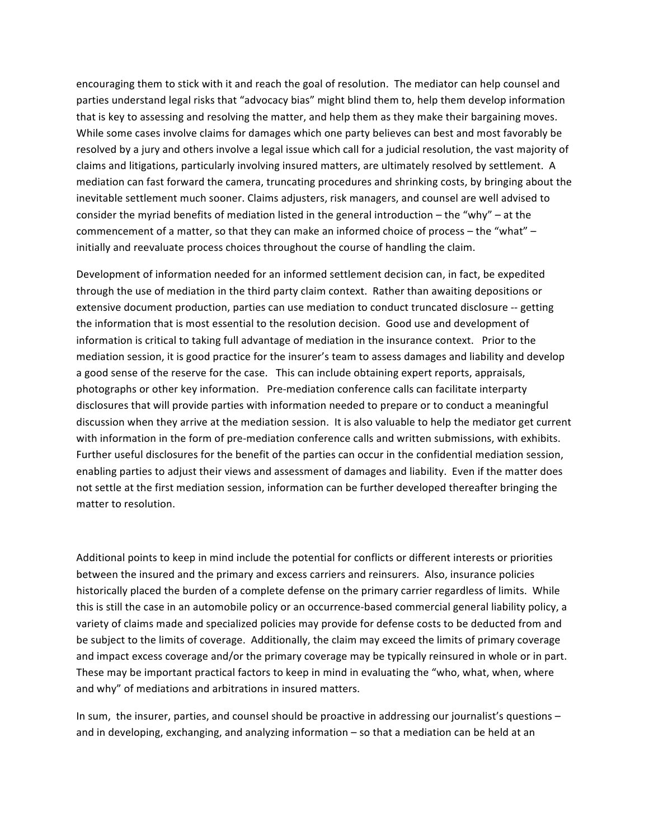encouraging them to stick with it and reach the goal of resolution. The mediator can help counsel and parties understand legal risks that "advocacy bias" might blind them to, help them develop information that is key to assessing and resolving the matter, and help them as they make their bargaining moves. While some cases involve claims for damages which one party believes can best and most favorably be resolved by a jury and others involve a legal issue which call for a judicial resolution, the vast majority of claims and litigations, particularly involving insured matters, are ultimately resolved by settlement. A mediation can fast forward the camera, truncating procedures and shrinking costs, by bringing about the inevitable settlement much sooner. Claims adjusters, risk managers, and counsel are well advised to consider the myriad benefits of mediation listed in the general introduction – the "why" – at the commencement of a matter, so that they can make an informed choice of process – the "what" – initially and reevaluate process choices throughout the course of handling the claim.

Development of information needed for an informed settlement decision can, in fact, be expedited through the use of mediation in the third party claim context. Rather than awaiting depositions or extensive document production, parties can use mediation to conduct truncated disclosure -- getting the information that is most essential to the resolution decision. Good use and development of information is critical to taking full advantage of mediation in the insurance context. Prior to the mediation session, it is good practice for the insurer's team to assess damages and liability and develop a good sense of the reserve for the case. This can include obtaining expert reports, appraisals, photographs or other key information. Pre-mediation conference calls can facilitate interparty disclosures that will provide parties with information needed to prepare or to conduct a meaningful discussion when they arrive at the mediation session. It is also valuable to help the mediator get current with information in the form of pre-mediation conference calls and written submissions, with exhibits. Further useful disclosures for the benefit of the parties can occur in the confidential mediation session, enabling parties to adjust their views and assessment of damages and liability. Even if the matter does not settle at the first mediation session, information can be further developed thereafter bringing the matter to resolution.

Additional points to keep in mind include the potential for conflicts or different interests or priorities between the insured and the primary and excess carriers and reinsurers. Also, insurance policies historically placed the burden of a complete defense on the primary carrier regardless of limits. While this is still the case in an automobile policy or an occurrence-based commercial general liability policy, a variety of claims made and specialized policies may provide for defense costs to be deducted from and be subject to the limits of coverage. Additionally, the claim may exceed the limits of primary coverage and impact excess coverage and/or the primary coverage may be typically reinsured in whole or in part. These may be important practical factors to keep in mind in evaluating the "who, what, when, where and why" of mediations and arbitrations in insured matters.

In sum, the insurer, parties, and counsel should be proactive in addressing our journalist's questions – and in developing, exchanging, and analyzing information – so that a mediation can be held at an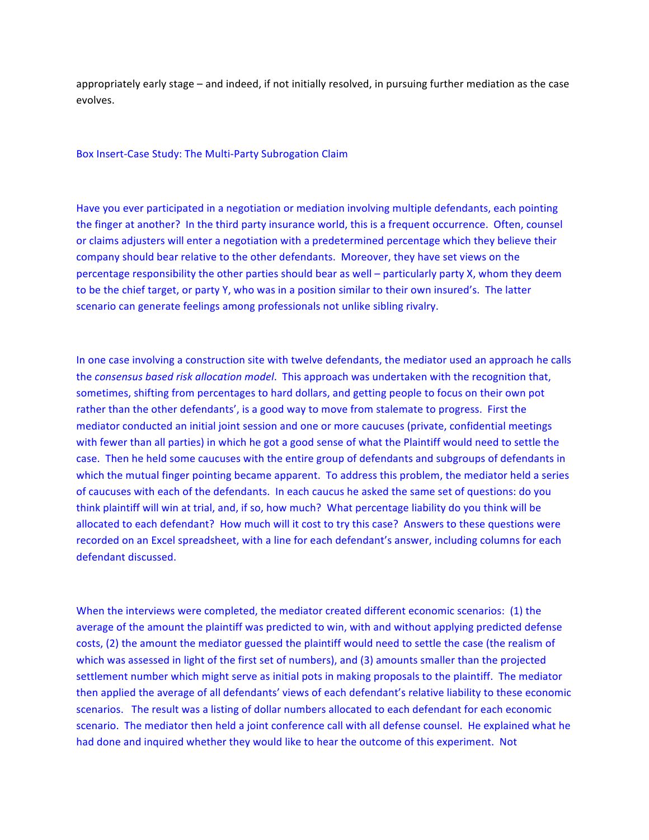appropriately early stage – and indeed, if not initially resolved, in pursuing further mediation as the case evolves.

Box Insert-Case Study: The Multi-Party Subrogation Claim

Have you ever participated in a negotiation or mediation involving multiple defendants, each pointing the finger at another? In the third party insurance world, this is a frequent occurrence. Often, counsel or claims adjusters will enter a negotiation with a predetermined percentage which they believe their company should bear relative to the other defendants. Moreover, they have set views on the percentage responsibility the other parties should bear as well - particularly party X, whom they deem to be the chief target, or party Y, who was in a position similar to their own insured's. The latter scenario can generate feelings among professionals not unlike sibling rivalry.

In one case involving a construction site with twelve defendants, the mediator used an approach he calls the consensus based risk allocation model. This approach was undertaken with the recognition that, sometimes, shifting from percentages to hard dollars, and getting people to focus on their own pot rather than the other defendants', is a good way to move from stalemate to progress. First the mediator conducted an initial joint session and one or more caucuses (private, confidential meetings with fewer than all parties) in which he got a good sense of what the Plaintiff would need to settle the case. Then he held some caucuses with the entire group of defendants and subgroups of defendants in which the mutual finger pointing became apparent. To address this problem, the mediator held a series of caucuses with each of the defendants. In each caucus he asked the same set of questions: do you think plaintiff will win at trial, and, if so, how much? What percentage liability do you think will be allocated to each defendant? How much will it cost to try this case? Answers to these questions were recorded on an Excel spreadsheet, with a line for each defendant's answer, including columns for each defendant discussed.

When the interviews were completed, the mediator created different economic scenarios: (1) the average of the amount the plaintiff was predicted to win, with and without applying predicted defense costs, (2) the amount the mediator guessed the plaintiff would need to settle the case (the realism of which was assessed in light of the first set of numbers), and (3) amounts smaller than the projected settlement number which might serve as initial pots in making proposals to the plaintiff. The mediator then applied the average of all defendants' views of each defendant's relative liability to these economic scenarios. The result was a listing of dollar numbers allocated to each defendant for each economic scenario. The mediator then held a joint conference call with all defense counsel. He explained what he had done and inquired whether they would like to hear the outcome of this experiment. Not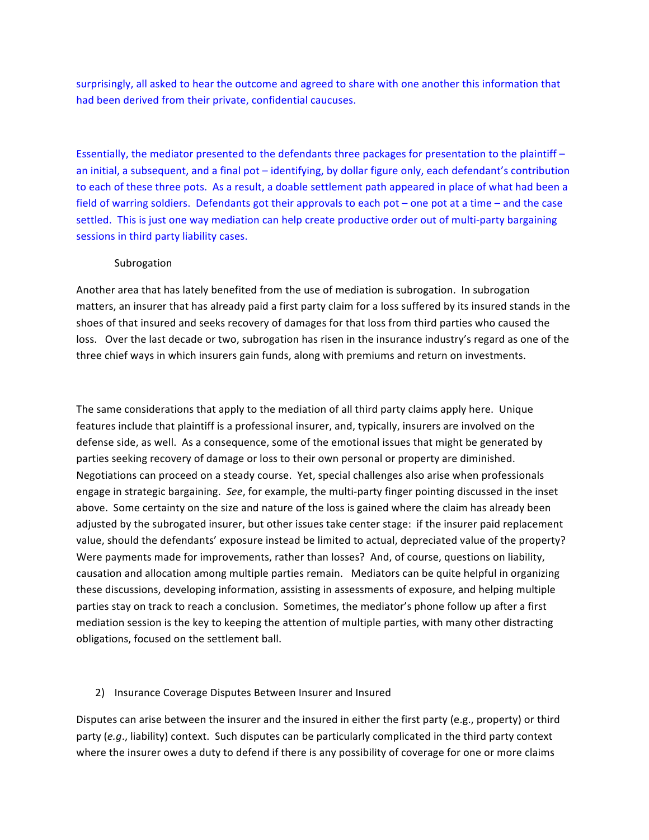surprisingly, all asked to hear the outcome and agreed to share with one another this information that had been derived from their private, confidential caucuses.

Essentially, the mediator presented to the defendants three packages for presentation to the plaintiff – an initial, a subsequent, and a final pot – identifying, by dollar figure only, each defendant's contribution to each of these three pots. As a result, a doable settlement path appeared in place of what had been a field of warring soldiers. Defendants got their approvals to each pot – one pot at a time – and the case settled. This is just one way mediation can help create productive order out of multi-party bargaining sessions in third party liability cases.

### Subrogation

Another area that has lately benefited from the use of mediation is subrogation. In subrogation matters, an insurer that has already paid a first party claim for a loss suffered by its insured stands in the shoes of that insured and seeks recovery of damages for that loss from third parties who caused the loss. Over the last decade or two, subrogation has risen in the insurance industry's regard as one of the three chief ways in which insurers gain funds, along with premiums and return on investments.

The same considerations that apply to the mediation of all third party claims apply here. Unique features include that plaintiff is a professional insurer, and, typically, insurers are involved on the defense side, as well. As a consequence, some of the emotional issues that might be generated by parties seeking recovery of damage or loss to their own personal or property are diminished. Negotiations can proceed on a steady course. Yet, special challenges also arise when professionals engage in strategic bargaining. See, for example, the multi-party finger pointing discussed in the inset above. Some certainty on the size and nature of the loss is gained where the claim has already been adjusted by the subrogated insurer, but other issues take center stage: if the insurer paid replacement value, should the defendants' exposure instead be limited to actual, depreciated value of the property? Were payments made for improvements, rather than losses? And, of course, questions on liability, causation and allocation among multiple parties remain. Mediators can be quite helpful in organizing these discussions, developing information, assisting in assessments of exposure, and helping multiple parties stay on track to reach a conclusion. Sometimes, the mediator's phone follow up after a first mediation session is the key to keeping the attention of multiple parties, with many other distracting obligations, focused on the settlement ball.

### 2) Insurance Coverage Disputes Between Insurer and Insured

Disputes can arise between the insurer and the insured in either the first party (e.g., property) or third party  $(e.q.,$  liability) context. Such disputes can be particularly complicated in the third party context where the insurer owes a duty to defend if there is any possibility of coverage for one or more claims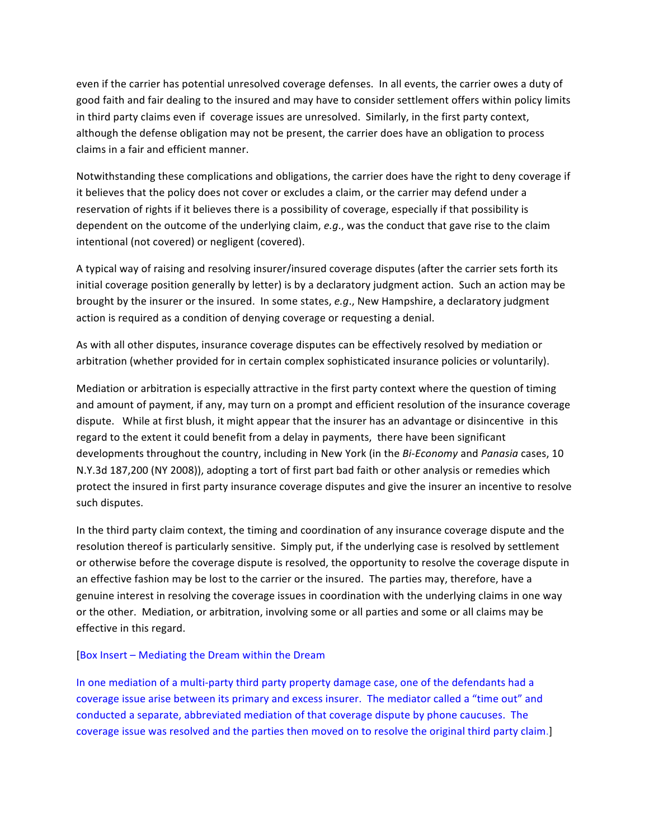even if the carrier has potential unresolved coverage defenses. In all events, the carrier owes a duty of good faith and fair dealing to the insured and may have to consider settlement offers within policy limits in third party claims even if coverage issues are unresolved. Similarly, in the first party context, although the defense obligation may not be present, the carrier does have an obligation to process claims in a fair and efficient manner.

Notwithstanding these complications and obligations, the carrier does have the right to deny coverage if it believes that the policy does not cover or excludes a claim, or the carrier may defend under a reservation of rights if it believes there is a possibility of coverage, especially if that possibility is dependent on the outcome of the underlying claim, e.g., was the conduct that gave rise to the claim intentional (not covered) or negligent (covered).

A typical way of raising and resolving insurer/insured coverage disputes (after the carrier sets forth its initial coverage position generally by letter) is by a declaratory judgment action. Such an action may be brought by the insurer or the insured. In some states, e.g., New Hampshire, a declaratory judgment action is required as a condition of denying coverage or requesting a denial.

As with all other disputes, insurance coverage disputes can be effectively resolved by mediation or arbitration (whether provided for in certain complex sophisticated insurance policies or voluntarily).

Mediation or arbitration is especially attractive in the first party context where the question of timing and amount of payment, if any, may turn on a prompt and efficient resolution of the insurance coverage dispute. While at first blush, it might appear that the insurer has an advantage or disincentive in this regard to the extent it could benefit from a delay in payments, there have been significant developments throughout the country, including in New York (in the *Bi-Economy* and *Panasia* cases, 10 N.Y.3d 187,200 (NY 2008)), adopting a tort of first part bad faith or other analysis or remedies which protect the insured in first party insurance coverage disputes and give the insurer an incentive to resolve such disputes.

In the third party claim context, the timing and coordination of any insurance coverage dispute and the resolution thereof is particularly sensitive. Simply put, if the underlying case is resolved by settlement or otherwise before the coverage dispute is resolved, the opportunity to resolve the coverage dispute in an effective fashion may be lost to the carrier or the insured. The parties may, therefore, have a genuine interest in resolving the coverage issues in coordination with the underlying claims in one way or the other. Mediation, or arbitration, involving some or all parties and some or all claims may be effective in this regard.

#### $[Box Inset - Mediating the Dream within the Dream$

In one mediation of a multi-party third party property damage case, one of the defendants had a coverage issue arise between its primary and excess insurer. The mediator called a "time out" and conducted a separate, abbreviated mediation of that coverage dispute by phone caucuses. The coverage issue was resolved and the parties then moved on to resolve the original third party claim.]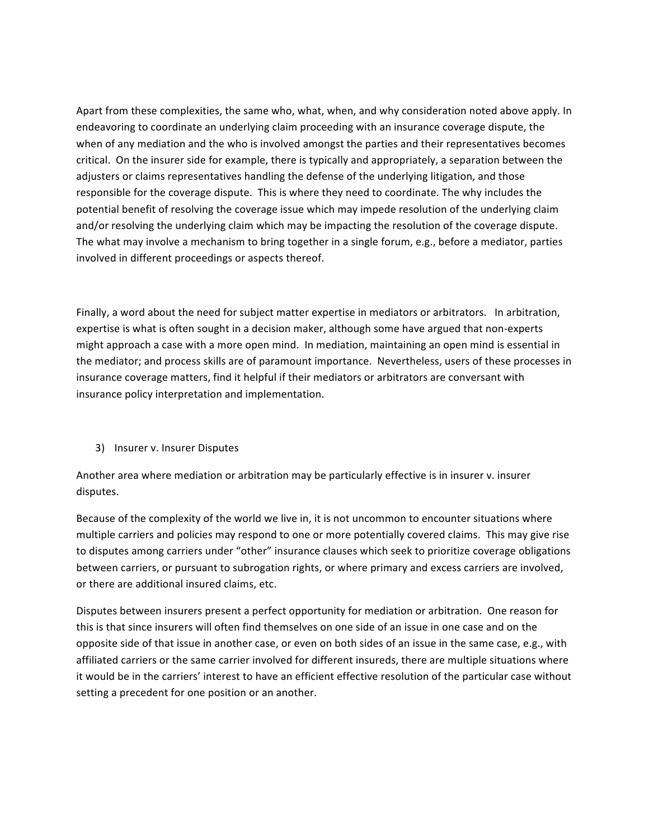Apart from these complexities, the same who, what, when, and why consideration noted above apply. In endeavoring to coordinate an underlying claim proceeding with an insurance coverage dispute, the when of any mediation and the who is involved amongst the parties and their representatives becomes critical. On the insurer side for example, there is typically and appropriately, a separation between the adjusters or claims representatives handling the defense of the underlying litigation, and those responsible for the coverage dispute. This is where they need to coordinate. The why includes the potential benefit of resolving the coverage issue which may impede resolution of the underlying claim and/or resolving the underlying claim which may be impacting the resolution of the coverage dispute. The what may involve a mechanism to bring together in a single forum, e.g., before a mediator, parties involved in different proceedings or aspects thereof.

Finally, a word about the need for subject matter expertise in mediators or arbitrators. In arbitration, expertise is what is often sought in a decision maker, although some have argued that non-experts might approach a case with a more open mind. In mediation, maintaining an open mind is essential in the mediator; and process skills are of paramount importance. Nevertheless, users of these processes in insurance coverage matters, find it helpful if their mediators or arbitrators are conversant with insurance policy interpretation and implementation.

# 3) Insurer v. Insurer Disputes

Another area where mediation or arbitration may be particularly effective is in insurer v. insurer disputes.

Because of the complexity of the world we live in, it is not uncommon to encounter situations where multiple carriers and policies may respond to one or more potentially covered claims. This may give rise to disputes among carriers under "other" insurance clauses which seek to prioritize coverage obligations between carriers, or pursuant to subrogation rights, or where primary and excess carriers are involved, or there are additional insured claims, etc.

Disputes between insurers present a perfect opportunity for mediation or arbitration. One reason for this is that since insurers will often find themselves on one side of an issue in one case and on the opposite side of that issue in another case, or even on both sides of an issue in the same case, e.g., with affiliated carriers or the same carrier involved for different insureds, there are multiple situations where it would be in the carriers' interest to have an efficient effective resolution of the particular case without setting a precedent for one position or an another.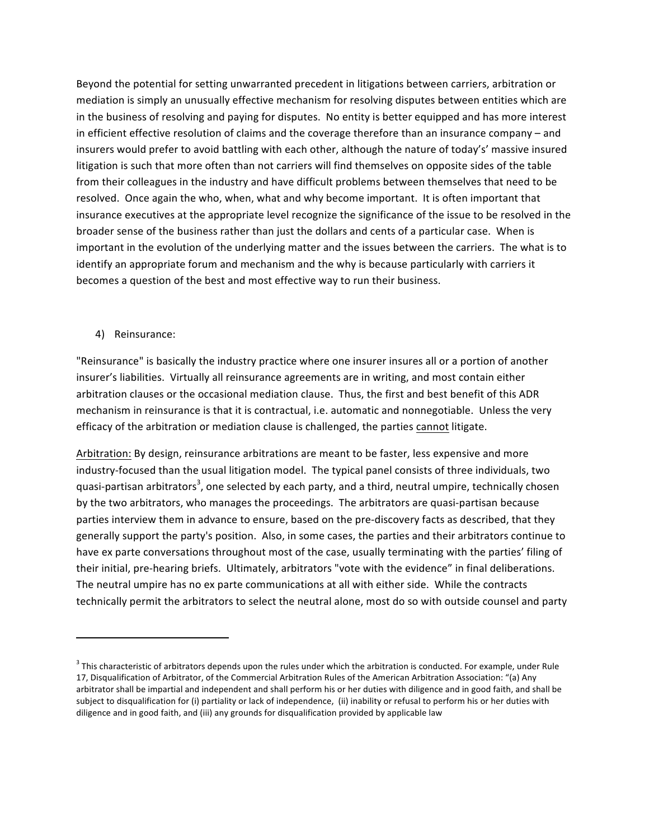Beyond the potential for setting unwarranted precedent in litigations between carriers, arbitration or mediation is simply an unusually effective mechanism for resolving disputes between entities which are in the business of resolving and paying for disputes. No entity is better equipped and has more interest in efficient effective resolution of claims and the coverage therefore than an insurance company - and insurers would prefer to avoid battling with each other, although the nature of today's' massive insured litigation is such that more often than not carriers will find themselves on opposite sides of the table from their colleagues in the industry and have difficult problems between themselves that need to be resolved. Once again the who, when, what and why become important. It is often important that insurance executives at the appropriate level recognize the significance of the issue to be resolved in the broader sense of the business rather than just the dollars and cents of a particular case. When is important in the evolution of the underlying matter and the issues between the carriers. The what is to identify an appropriate forum and mechanism and the why is because particularly with carriers it becomes a question of the best and most effective way to run their business.

4) Reinsurance:

"Reinsurance" is basically the industry practice where one insurer insures all or a portion of another insurer's liabilities. Virtually all reinsurance agreements are in writing, and most contain either arbitration clauses or the occasional mediation clause. Thus, the first and best benefit of this ADR mechanism in reinsurance is that it is contractual, i.e. automatic and nonnegotiable. Unless the very efficacy of the arbitration or mediation clause is challenged, the parties cannot litigate.

Arbitration: By design, reinsurance arbitrations are meant to be faster, less expensive and more industry-focused than the usual litigation model. The typical panel consists of three individuals, two quasi-partisan arbitrators<sup>3</sup>, one selected by each party, and a third, neutral umpire, technically chosen by the two arbitrators, who manages the proceedings. The arbitrators are quasi-partisan because parties interview them in advance to ensure, based on the pre-discovery facts as described, that they generally support the party's position. Also, in some cases, the parties and their arbitrators continue to have ex parte conversations throughout most of the case, usually terminating with the parties' filing of their initial, pre-hearing briefs. Ultimately, arbitrators "vote with the evidence" in final deliberations. The neutral umpire has no ex parte communications at all with either side. While the contracts technically permit the arbitrators to select the neutral alone, most do so with outside counsel and party

 $3$  This characteristic of arbitrators depends upon the rules under which the arbitration is conducted. For example, under Rule 17, Disqualification of Arbitrator, of the Commercial Arbitration Rules of the American Arbitration Association: "(a) Any arbitrator shall be impartial and independent and shall perform his or her duties with diligence and in good faith, and shall be subject to disqualification for (i) partiality or lack of independence, (ii) inability or refusal to perform his or her duties with diligence and in good faith, and (iii) any grounds for disqualification provided by applicable law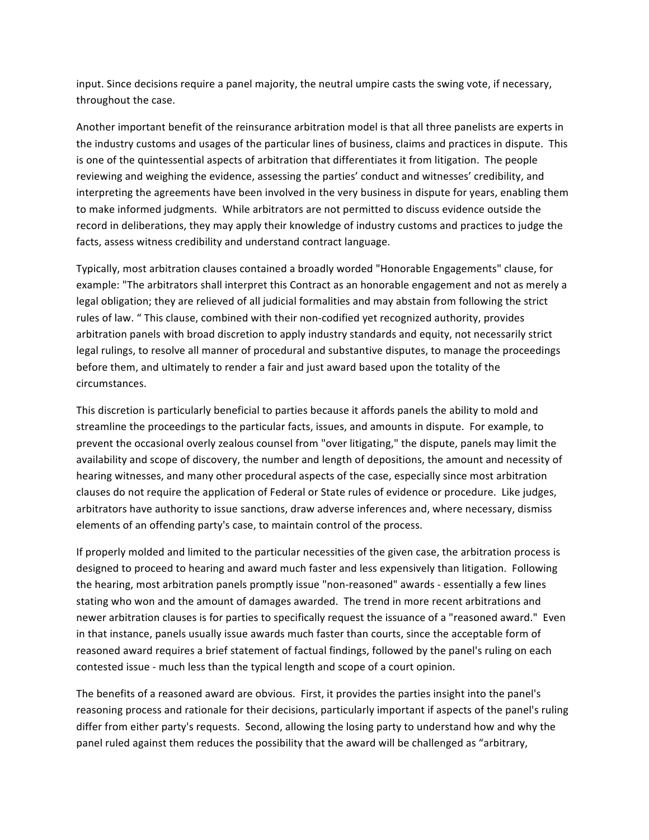input. Since decisions require a panel majority, the neutral umpire casts the swing vote, if necessary, throughout the case.

Another important benefit of the reinsurance arbitration model is that all three panelists are experts in the industry customs and usages of the particular lines of business, claims and practices in dispute. This is one of the quintessential aspects of arbitration that differentiates it from litigation. The people reviewing and weighing the evidence, assessing the parties' conduct and witnesses' credibility, and interpreting the agreements have been involved in the very business in dispute for years, enabling them to make informed judgments. While arbitrators are not permitted to discuss evidence outside the record in deliberations, they may apply their knowledge of industry customs and practices to judge the facts, assess witness credibility and understand contract language.

Typically, most arbitration clauses contained a broadly worded "Honorable Engagements" clause, for example: "The arbitrators shall interpret this Contract as an honorable engagement and not as merely a legal obligation; they are relieved of all judicial formalities and may abstain from following the strict rules of law. " This clause, combined with their non-codified yet recognized authority, provides arbitration panels with broad discretion to apply industry standards and equity, not necessarily strict legal rulings, to resolve all manner of procedural and substantive disputes, to manage the proceedings before them, and ultimately to render a fair and just award based upon the totality of the circumstances.

This discretion is particularly beneficial to parties because it affords panels the ability to mold and streamline the proceedings to the particular facts, issues, and amounts in dispute. For example, to prevent the occasional overly zealous counsel from "over litigating," the dispute, panels may limit the availability and scope of discovery, the number and length of depositions, the amount and necessity of hearing witnesses, and many other procedural aspects of the case, especially since most arbitration clauses do not require the application of Federal or State rules of evidence or procedure. Like judges, arbitrators have authority to issue sanctions, draw adverse inferences and, where necessary, dismiss elements of an offending party's case, to maintain control of the process.

If properly molded and limited to the particular necessities of the given case, the arbitration process is designed to proceed to hearing and award much faster and less expensively than litigation. Following the hearing, most arbitration panels promptly issue "non-reasoned" awards - essentially a few lines stating who won and the amount of damages awarded. The trend in more recent arbitrations and newer arbitration clauses is for parties to specifically request the issuance of a "reasoned award." Even in that instance, panels usually issue awards much faster than courts, since the acceptable form of reasoned award requires a brief statement of factual findings, followed by the panel's ruling on each contested issue - much less than the typical length and scope of a court opinion.

The benefits of a reasoned award are obvious. First, it provides the parties insight into the panel's reasoning process and rationale for their decisions, particularly important if aspects of the panel's ruling differ from either party's requests. Second, allowing the losing party to understand how and why the panel ruled against them reduces the possibility that the award will be challenged as "arbitrary,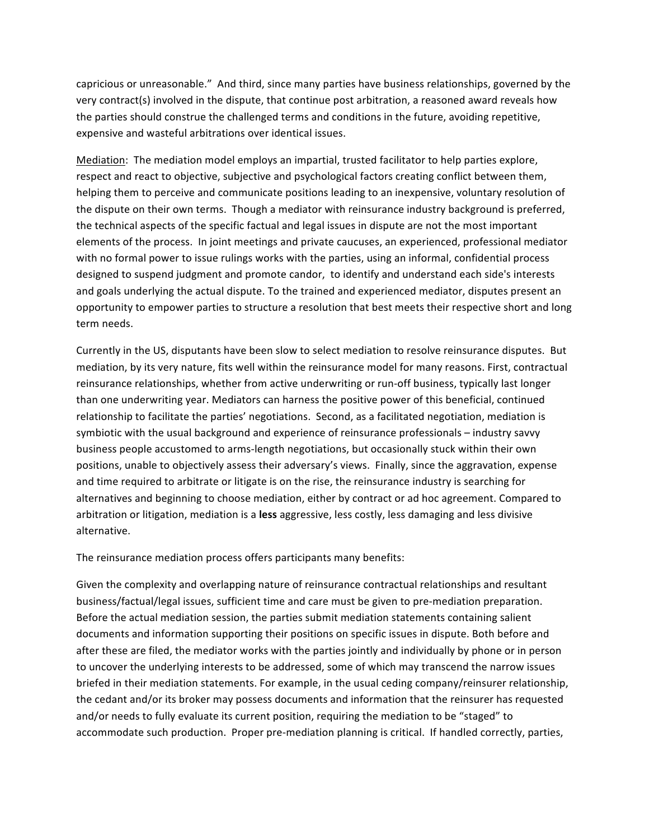capricious or unreasonable." And third, since many parties have business relationships, governed by the very contract(s) involved in the dispute, that continue post arbitration, a reasoned award reveals how the parties should construe the challenged terms and conditions in the future, avoiding repetitive, expensive and wasteful arbitrations over identical issues.

Mediation: The mediation model employs an impartial, trusted facilitator to help parties explore, respect and react to objective, subjective and psychological factors creating conflict between them, helping them to perceive and communicate positions leading to an inexpensive, voluntary resolution of the dispute on their own terms. Though a mediator with reinsurance industry background is preferred, the technical aspects of the specific factual and legal issues in dispute are not the most important elements of the process. In joint meetings and private caucuses, an experienced, professional mediator with no formal power to issue rulings works with the parties, using an informal, confidential process designed to suspend judgment and promote candor, to identify and understand each side's interests and goals underlying the actual dispute. To the trained and experienced mediator, disputes present an opportunity to empower parties to structure a resolution that best meets their respective short and long term needs.

Currently in the US, disputants have been slow to select mediation to resolve reinsurance disputes. But mediation, by its very nature, fits well within the reinsurance model for many reasons. First, contractual reinsurance relationships, whether from active underwriting or run-off business, typically last longer than one underwriting year. Mediators can harness the positive power of this beneficial, continued relationship to facilitate the parties' negotiations. Second, as a facilitated negotiation, mediation is symbiotic with the usual background and experience of reinsurance professionals – industry savvy business people accustomed to arms-length negotiations, but occasionally stuck within their own positions, unable to objectively assess their adversary's views. Finally, since the aggravation, expense and time required to arbitrate or litigate is on the rise, the reinsurance industry is searching for alternatives and beginning to choose mediation, either by contract or ad hoc agreement. Compared to arbitration or litigation, mediation is a less aggressive, less costly, less damaging and less divisive alternative.

The reinsurance mediation process offers participants many benefits:

Given the complexity and overlapping nature of reinsurance contractual relationships and resultant business/factual/legal issues, sufficient time and care must be given to pre-mediation preparation. Before the actual mediation session, the parties submit mediation statements containing salient documents and information supporting their positions on specific issues in dispute. Both before and after these are filed, the mediator works with the parties jointly and individually by phone or in person to uncover the underlying interests to be addressed, some of which may transcend the narrow issues briefed in their mediation statements. For example, in the usual ceding company/reinsurer relationship, the cedant and/or its broker may possess documents and information that the reinsurer has requested and/or needs to fully evaluate its current position, requiring the mediation to be "staged" to accommodate such production. Proper pre-mediation planning is critical. If handled correctly, parties,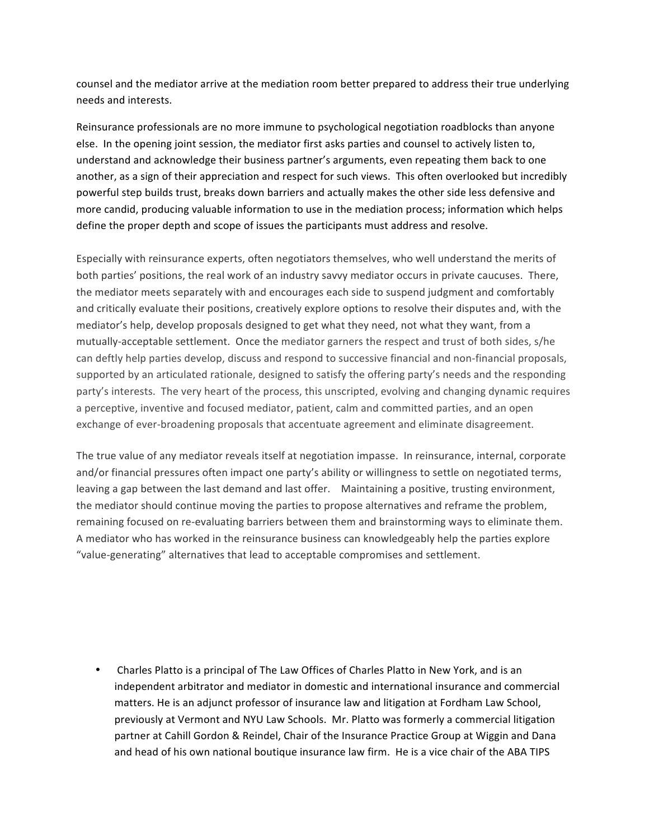counsel and the mediator arrive at the mediation room better prepared to address their true underlying needs and interests.

Reinsurance professionals are no more immune to psychological negotiation roadblocks than anyone else. In the opening joint session, the mediator first asks parties and counsel to actively listen to, understand and acknowledge their business partner's arguments, even repeating them back to one another, as a sign of their appreciation and respect for such views. This often overlooked but incredibly powerful step builds trust, breaks down barriers and actually makes the other side less defensive and more candid, producing valuable information to use in the mediation process; information which helps define the proper depth and scope of issues the participants must address and resolve.

Especially with reinsurance experts, often negotiators themselves, who well understand the merits of both parties' positions, the real work of an industry savvy mediator occurs in private caucuses. There, the mediator meets separately with and encourages each side to suspend judgment and comfortably and critically evaluate their positions, creatively explore options to resolve their disputes and, with the mediator's help, develop proposals designed to get what they need, not what they want, from a mutually-acceptable settlement. Once the mediator garners the respect and trust of both sides, s/he can deftly help parties develop, discuss and respond to successive financial and non-financial proposals, supported by an articulated rationale, designed to satisfy the offering party's needs and the responding party's interests. The very heart of the process, this unscripted, evolving and changing dynamic requires a perceptive, inventive and focused mediator, patient, calm and committed parties, and an open exchange of ever-broadening proposals that accentuate agreement and eliminate disagreement.

The true value of any mediator reveals itself at negotiation impasse. In reinsurance, internal, corporate and/or financial pressures often impact one party's ability or willingness to settle on negotiated terms, leaving a gap between the last demand and last offer. Maintaining a positive, trusting environment, the mediator should continue moving the parties to propose alternatives and reframe the problem, remaining focused on re-evaluating barriers between them and brainstorming ways to eliminate them. A mediator who has worked in the reinsurance business can knowledgeably help the parties explore "value-generating" alternatives that lead to acceptable compromises and settlement.

Charles Platto is a principal of The Law Offices of Charles Platto in New York, and is an independent arbitrator and mediator in domestic and international insurance and commercial matters. He is an adjunct professor of insurance law and litigation at Fordham Law School, previously at Vermont and NYU Law Schools. Mr. Platto was formerly a commercial litigation partner at Cahill Gordon & Reindel, Chair of the Insurance Practice Group at Wiggin and Dana and head of his own national boutique insurance law firm. He is a vice chair of the ABA TIPS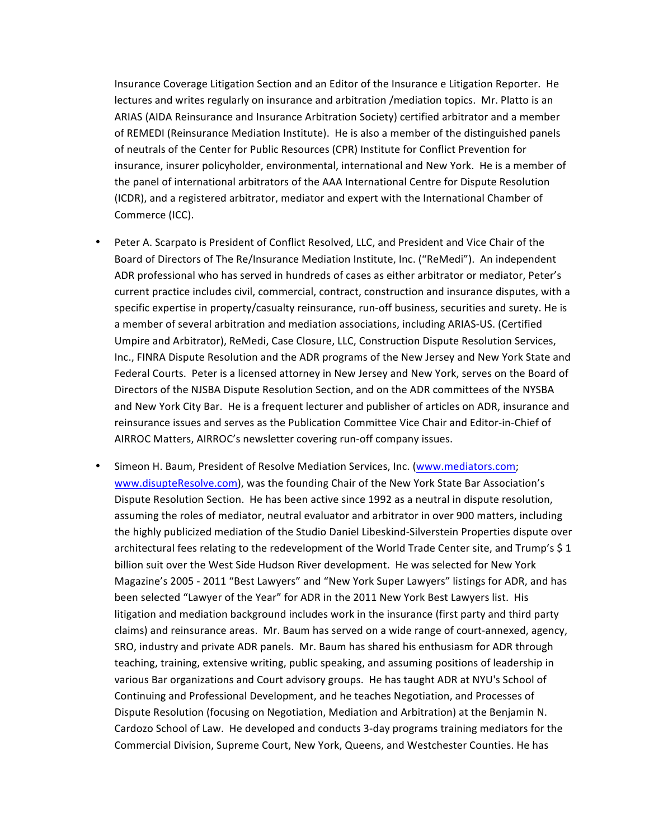Insurance Coverage Litigation Section and an Editor of the Insurance e Litigation Reporter. He lectures and writes regularly on insurance and arbitration /mediation topics. Mr. Platto is an ARIAS (AIDA Reinsurance and Insurance Arbitration Society) certified arbitrator and a member of REMEDI (Reinsurance Mediation Institute). He is also a member of the distinguished panels of neutrals of the Center for Public Resources (CPR) Institute for Conflict Prevention for insurance, insurer policyholder, environmental, international and New York. He is a member of the panel of international arbitrators of the AAA International Centre for Dispute Resolution (ICDR), and a registered arbitrator, mediator and expert with the International Chamber of Commerce (ICC).

- Peter A. Scarpato is President of Conflict Resolved, LLC, and President and Vice Chair of the Board of Directors of The Re/Insurance Mediation Institute, Inc. ("ReMedi"). An independent ADR professional who has served in hundreds of cases as either arbitrator or mediator, Peter's current practice includes civil, commercial, contract, construction and insurance disputes, with a specific expertise in property/casualty reinsurance, run-off business, securities and surety. He is a member of several arbitration and mediation associations, including ARIAS-US. (Certified Umpire and Arbitrator), ReMedi, Case Closure, LLC, Construction Dispute Resolution Services, Inc., FINRA Dispute Resolution and the ADR programs of the New Jersey and New York State and Federal Courts. Peter is a licensed attorney in New Jersey and New York, serves on the Board of Directors of the NJSBA Dispute Resolution Section, and on the ADR committees of the NYSBA and New York City Bar. He is a frequent lecturer and publisher of articles on ADR, insurance and reinsurance issues and serves as the Publication Committee Vice Chair and Editor-in-Chief of AIRROC Matters, AIRROC's newsletter covering run-off company issues.
- Simeon H. Baum, President of Resolve Mediation Services, Inc. (www.mediators.com; www.disupteResolve.com), was the founding Chair of the New York State Bar Association's Dispute Resolution Section. He has been active since 1992 as a neutral in dispute resolution, assuming the roles of mediator, neutral evaluator and arbitrator in over 900 matters, including the highly publicized mediation of the Studio Daniel Libeskind-Silverstein Properties dispute over architectural fees relating to the redevelopment of the World Trade Center site, and Trump's \$1 billion suit over the West Side Hudson River development. He was selected for New York Magazine's 2005 - 2011 "Best Lawyers" and "New York Super Lawyers" listings for ADR, and has been selected "Lawyer of the Year" for ADR in the 2011 New York Best Lawyers list. His litigation and mediation background includes work in the insurance (first party and third party claims) and reinsurance areas. Mr. Baum has served on a wide range of court-annexed, agency, SRO, industry and private ADR panels. Mr. Baum has shared his enthusiasm for ADR through teaching, training, extensive writing, public speaking, and assuming positions of leadership in various Bar organizations and Court advisory groups. He has taught ADR at NYU's School of Continuing and Professional Development, and he teaches Negotiation, and Processes of Dispute Resolution (focusing on Negotiation, Mediation and Arbitration) at the Benjamin N. Cardozo School of Law. He developed and conducts 3-day programs training mediators for the Commercial Division, Supreme Court, New York, Queens, and Westchester Counties. He has